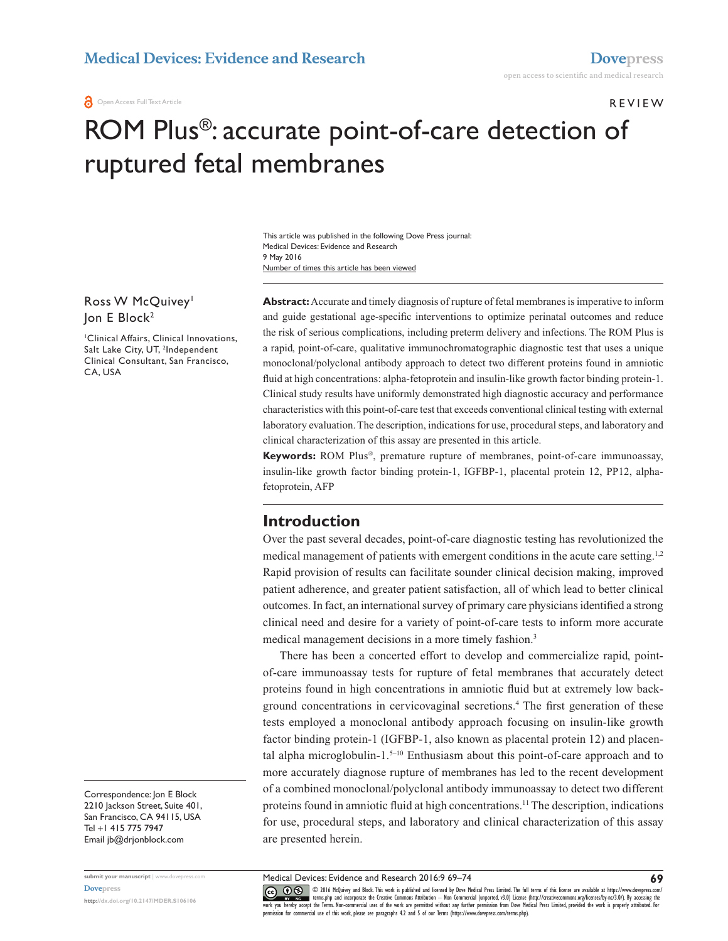#### R e v iew

**69**

# ROM Plus®: accurate point-of-care detection of ruptured fetal membranes

Number of times this article has been viewed This article was published in the following Dove Press journal: Medical Devices: Evidence and Research 9 May 2016

#### Ross W McQuivey<sup>1</sup> Jon E Block<sup>2</sup>

1 Clinical Affairs, Clinical Innovations, Salt Lake City, UT, <sup>2</sup>Independent Clinical Consultant, San Francisco, CA, USA

Correspondence: Jon E Block 2210 Jackson Street, Suite 401, San Francisco, CA 94115, USA Tel +1 415 775 7947 Email [jb@drjonblock.com](mailto:jb@drjonblock.com)

**submit your manuscript** | <www.dovepress.com> **[Dovepress](www.dovepress.com) <http://dx.doi.org/10.2147/MDER.S106106>**

**Abstract:** Accurate and timely diagnosis of rupture of fetal membranes is imperative to inform and guide gestational age-specific interventions to optimize perinatal outcomes and reduce the risk of serious complications, including preterm delivery and infections. The ROM Plus is a rapid, point-of-care, qualitative immunochromatographic diagnostic test that uses a unique monoclonal/polyclonal antibody approach to detect two different proteins found in amniotic fluid at high concentrations: alpha-fetoprotein and insulin-like growth factor binding protein-1. Clinical study results have uniformly demonstrated high diagnostic accuracy and performance characteristics with this point-of-care test that exceeds conventional clinical testing with external laboratory evaluation. The description, indications for use, procedural steps, and laboratory and clinical characterization of this assay are presented in this article.

**Keywords:** ROM Plus®, premature rupture of membranes, point-of-care immunoassay, insulin-like growth factor binding protein-1, IGFBP-1, placental protein 12, PP12, alphafetoprotein, AFP

## **Introduction**

Over the past several decades, point-of-care diagnostic testing has revolutionized the medical management of patients with emergent conditions in the acute care setting.<sup>1,2</sup> Rapid provision of results can facilitate sounder clinical decision making, improved patient adherence, and greater patient satisfaction, all of which lead to better clinical outcomes. In fact, an international survey of primary care physicians identified a strong clinical need and desire for a variety of point-of-care tests to inform more accurate medical management decisions in a more timely fashion.<sup>3</sup>

There has been a concerted effort to develop and commercialize rapid, pointof-care immunoassay tests for rupture of fetal membranes that accurately detect proteins found in high concentrations in amniotic fluid but at extremely low background concentrations in cervicovaginal secretions.4 The first generation of these tests employed a monoclonal antibody approach focusing on insulin-like growth factor binding protein-1 (IGFBP-1, also known as placental protein 12) and placental alpha microglobulin-1. $5-10$  Enthusiasm about this point-of-care approach and to more accurately diagnose rupture of membranes has led to the recent development of a combined monoclonal/polyclonal antibody immunoassay to detect two different proteins found in amniotic fluid at high concentrations.11 The description, indications for use, procedural steps, and laboratory and clinical characterization of this assay are presented herein.

Medical Devices: Evidence and Research 2016:9 69–74

CO O S © 2016 McQuivey and Block. This work is published and licensed by Dove Medical Press Limited. The full terms of this license are available at [https://www.dovepress.com/](https://www.dovepress.com/terms.php)<br>[work you hereby accept](http://www.dovepress.com/permissions.php) the Terms, Non-commerci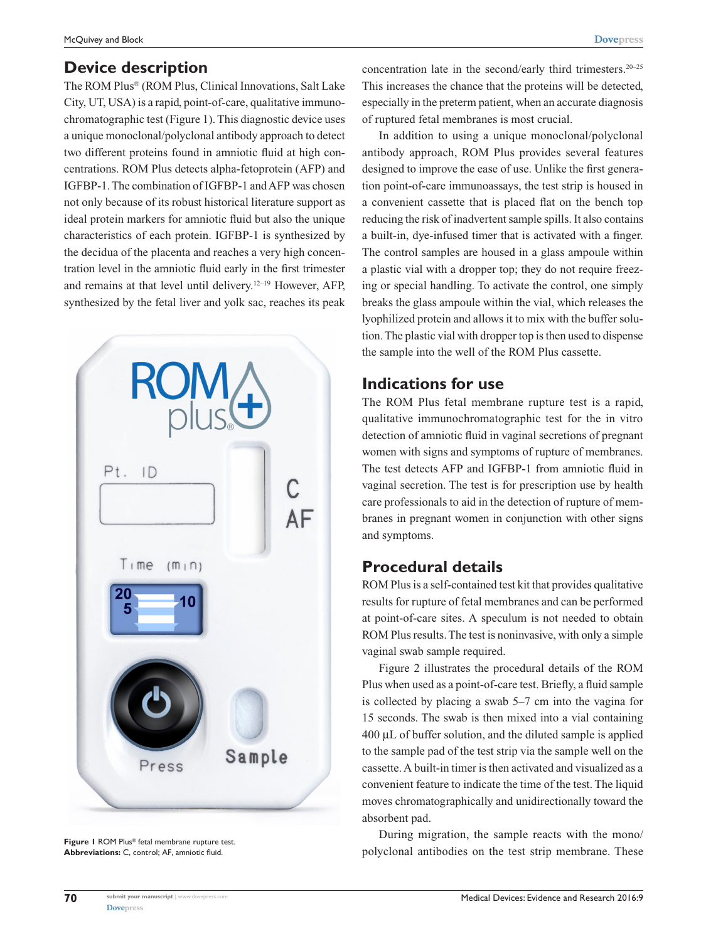## **Device description**

The ROM Plus® (ROM Plus, Clinical Innovations, Salt Lake City, UT, USA) is a rapid, point-of-care, qualitative immunochromatographic test (Figure 1). This diagnostic device uses a unique monoclonal/polyclonal antibody approach to detect two different proteins found in amniotic fluid at high concentrations. ROM Plus detects alpha-fetoprotein (AFP) and IGFBP-1. The combination of IGFBP-1 and AFP was chosen not only because of its robust historical literature support as ideal protein markers for amniotic fluid but also the unique characteristics of each protein. IGFBP-1 is synthesized by the decidua of the placenta and reaches a very high concentration level in the amniotic fluid early in the first trimester and remains at that level until delivery.12–19 However, AFP, synthesized by the fetal liver and yolk sac, reaches its peak



**Figure 1** ROM Plus® fetal membrane rupture test. **Abbreviations:** C, control; AF, amniotic fluid.

**70**

concentration late in the second/early third trimesters. $20-25$ This increases the chance that the proteins will be detected, especially in the preterm patient, when an accurate diagnosis of ruptured fetal membranes is most crucial.

In addition to using a unique monoclonal/polyclonal antibody approach, ROM Plus provides several features designed to improve the ease of use. Unlike the first generation point-of-care immunoassays, the test strip is housed in a convenient cassette that is placed flat on the bench top reducing the risk of inadvertent sample spills. It also contains a built-in, dye-infused timer that is activated with a finger. The control samples are housed in a glass ampoule within a plastic vial with a dropper top; they do not require freezing or special handling. To activate the control, one simply breaks the glass ampoule within the vial, which releases the lyophilized protein and allows it to mix with the buffer solution. The plastic vial with dropper top is then used to dispense the sample into the well of the ROM Plus cassette.

#### **Indications for use**

The ROM Plus fetal membrane rupture test is a rapid, qualitative immunochromatographic test for the in vitro detection of amniotic fluid in vaginal secretions of pregnant women with signs and symptoms of rupture of membranes. The test detects AFP and IGFBP-1 from amniotic fluid in vaginal secretion. The test is for prescription use by health care professionals to aid in the detection of rupture of membranes in pregnant women in conjunction with other signs and symptoms.

# **Procedural details**

ROM Plus is a self-contained test kit that provides qualitative results for rupture of fetal membranes and can be performed at point-of-care sites. A speculum is not needed to obtain ROM Plus results. The test is noninvasive, with only a simple vaginal swab sample required.

Figure 2 illustrates the procedural details of the ROM Plus when used as a point-of-care test. Briefly, a fluid sample is collected by placing a swab 5–7 cm into the vagina for 15 seconds. The swab is then mixed into a vial containing 400 µL of buffer solution, and the diluted sample is applied to the sample pad of the test strip via the sample well on the cassette. A built-in timer is then activated and visualized as a convenient feature to indicate the time of the test. The liquid moves chromatographically and unidirectionally toward the absorbent pad.

During migration, the sample reacts with the mono/ polyclonal antibodies on the test strip membrane. These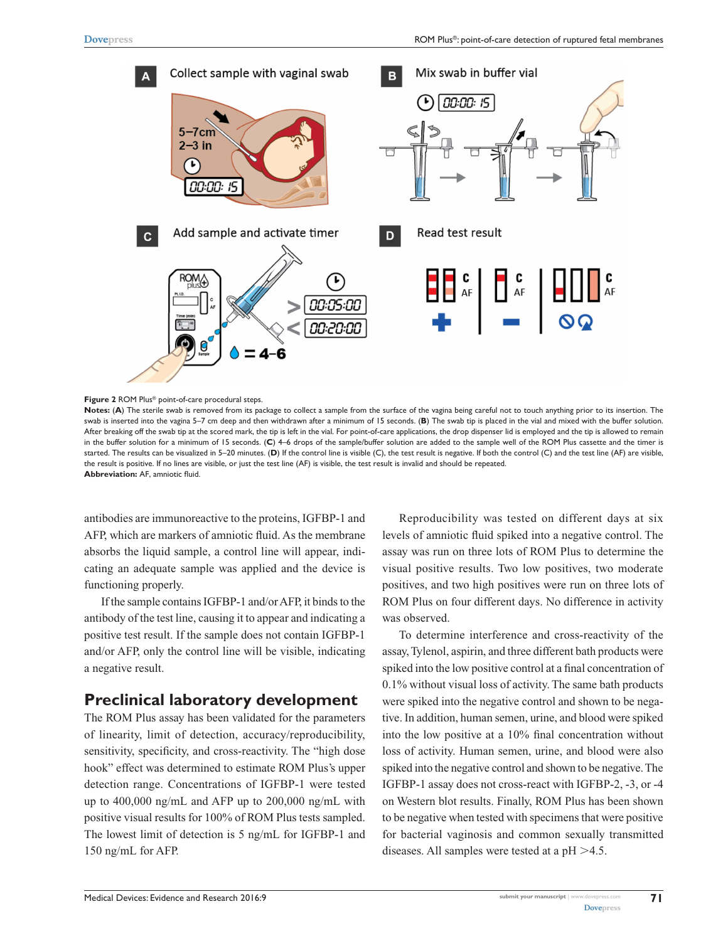

**Figure 2** ROM Plus® point-of-care procedural steps.

**Notes:** (**A**) The sterile swab is removed from its package to collect a sample from the surface of the vagina being careful not to touch anything prior to its insertion. The swab is inserted into the vagina 5–7 cm deep and then withdrawn after a minimum of 15 seconds. (**B**) The swab tip is placed in the vial and mixed with the buffer solution. After breaking off the swab tip at the scored mark, the tip is left in the vial. For point-of-care applications, the drop dispenser lid is employed and the tip is allowed to remain in the buffer solution for a minimum of 15 seconds. (**C**) 4–6 drops of the sample/buffer solution are added to the sample well of the ROM Plus cassette and the timer is started. The results can be visualized in 5–20 minutes. (**D**) If the control line is visible (C), the test result is negative. If both the control (C) and the test line (AF) are visible, the result is positive. If no lines are visible, or just the test line (AF) is visible, the test result is invalid and should be repeated. **Abbreviation:** AF, amniotic fluid.

antibodies are immunoreactive to the proteins, IGFBP-1 and AFP, which are markers of amniotic fluid. As the membrane absorbs the liquid sample, a control line will appear, indicating an adequate sample was applied and the device is functioning properly.

If the sample contains IGFBP-1 and/or AFP, it binds to the antibody of the test line, causing it to appear and indicating a positive test result. If the sample does not contain IGFBP-1 and/or AFP, only the control line will be visible, indicating a negative result.

#### **Preclinical laboratory development**

The ROM Plus assay has been validated for the parameters of linearity, limit of detection, accuracy/reproducibility, sensitivity, specificity, and cross-reactivity. The "high dose hook" effect was determined to estimate ROM Plus's upper detection range. Concentrations of IGFBP-1 were tested up to 400,000 ng/mL and AFP up to 200,000 ng/mL with positive visual results for 100% of ROM Plus tests sampled. The lowest limit of detection is 5 ng/mL for IGFBP-1 and 150 ng/mL for AFP.

Reproducibility was tested on different days at six levels of amniotic fluid spiked into a negative control. The assay was run on three lots of ROM Plus to determine the visual positive results. Two low positives, two moderate positives, and two high positives were run on three lots of ROM Plus on four different days. No difference in activity was observed.

To determine interference and cross-reactivity of the assay, Tylenol, aspirin, and three different bath products were spiked into the low positive control at a final concentration of 0.1% without visual loss of activity. The same bath products were spiked into the negative control and shown to be negative. In addition, human semen, urine, and blood were spiked into the low positive at a 10% final concentration without loss of activity. Human semen, urine, and blood were also spiked into the negative control and shown to be negative. The IGFBP-1 assay does not cross-react with IGFBP-2, -3, or -4 on Western blot results. Finally, ROM Plus has been shown to be negative when tested with specimens that were positive for bacterial vaginosis and common sexually transmitted diseases. All samples were tested at a  $pH > 4.5$ .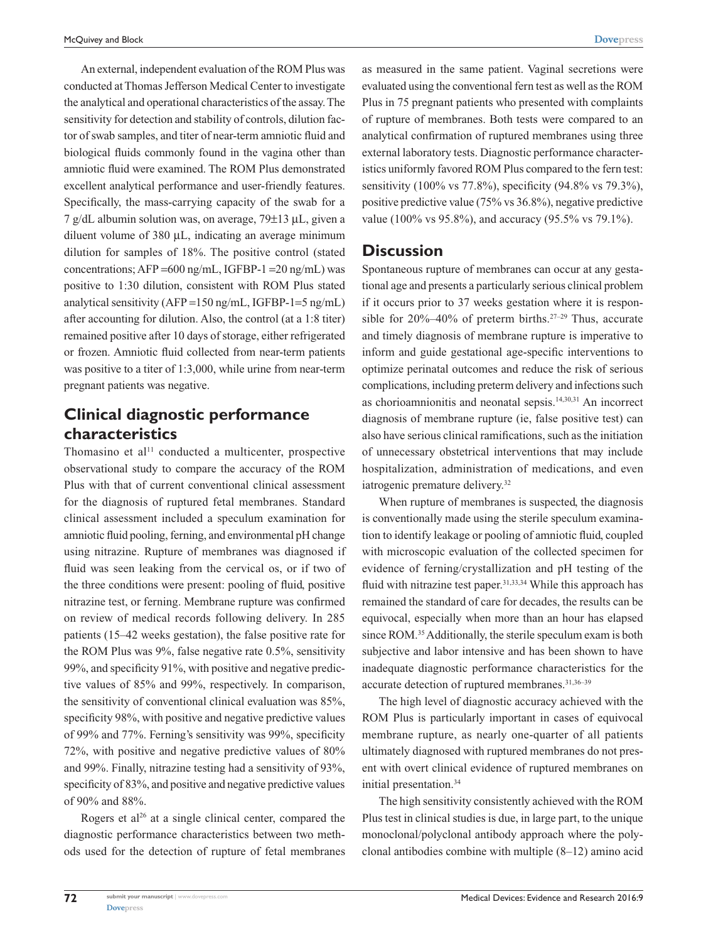An external, independent evaluation of the ROM Plus was conducted at Thomas Jefferson Medical Center to investigate the analytical and operational characteristics of the assay. The sensitivity for detection and stability of controls, dilution factor of swab samples, and titer of near-term amniotic fluid and biological fluids commonly found in the vagina other than amniotic fluid were examined. The ROM Plus demonstrated excellent analytical performance and user-friendly features. Specifically, the mass-carrying capacity of the swab for a 7 g/dL albumin solution was, on average, 79±13 µL, given a diluent volume of 380 µL, indicating an average minimum dilution for samples of 18%. The positive control (stated concentrations;  $AFP = 600$  ng/mL,  $IGFBP-1 = 20$  ng/mL) was positive to 1:30 dilution, consistent with ROM Plus stated analytical sensitivity (AFP =150 ng/mL, IGFBP-1=5 ng/mL) after accounting for dilution. Also, the control (at a 1:8 titer) remained positive after 10 days of storage, either refrigerated or frozen. Amniotic fluid collected from near-term patients was positive to a titer of 1:3,000, while urine from near-term pregnant patients was negative.

## **Clinical diagnostic performance characteristics**

Thomasino et al $11$  conducted a multicenter, prospective observational study to compare the accuracy of the ROM Plus with that of current conventional clinical assessment for the diagnosis of ruptured fetal membranes. Standard clinical assessment included a speculum examination for amniotic fluid pooling, ferning, and environmental pH change using nitrazine. Rupture of membranes was diagnosed if fluid was seen leaking from the cervical os, or if two of the three conditions were present: pooling of fluid, positive nitrazine test, or ferning. Membrane rupture was confirmed on review of medical records following delivery. In 285 patients (15–42 weeks gestation), the false positive rate for the ROM Plus was 9%, false negative rate 0.5%, sensitivity 99%, and specificity 91%, with positive and negative predictive values of 85% and 99%, respectively. In comparison, the sensitivity of conventional clinical evaluation was 85%, specificity 98%, with positive and negative predictive values of 99% and 77%. Ferning's sensitivity was 99%, specificity 72%, with positive and negative predictive values of 80% and 99%. Finally, nitrazine testing had a sensitivity of 93%, specificity of 83%, and positive and negative predictive values of 90% and 88%.

Rogers et al<sup>26</sup> at a single clinical center, compared the diagnostic performance characteristics between two methods used for the detection of rupture of fetal membranes as measured in the same patient. Vaginal secretions were evaluated using the conventional fern test as well as the ROM Plus in 75 pregnant patients who presented with complaints of rupture of membranes. Both tests were compared to an analytical confirmation of ruptured membranes using three external laboratory tests. Diagnostic performance characteristics uniformly favored ROM Plus compared to the fern test: sensitivity (100% vs 77.8%), specificity (94.8% vs 79.3%), positive predictive value (75% vs 36.8%), negative predictive value (100% vs 95.8%), and accuracy (95.5% vs 79.1%).

#### **Discussion**

Spontaneous rupture of membranes can occur at any gestational age and presents a particularly serious clinical problem if it occurs prior to 37 weeks gestation where it is responsible for  $20\% - 40\%$  of preterm births.<sup>27-29</sup> Thus, accurate and timely diagnosis of membrane rupture is imperative to inform and guide gestational age-specific interventions to optimize perinatal outcomes and reduce the risk of serious complications, including preterm delivery and infections such as chorioamnionitis and neonatal sepsis.14,30,31 An incorrect diagnosis of membrane rupture (ie, false positive test) can also have serious clinical ramifications, such as the initiation of unnecessary obstetrical interventions that may include hospitalization, administration of medications, and even iatrogenic premature delivery.<sup>32</sup>

When rupture of membranes is suspected, the diagnosis is conventionally made using the sterile speculum examination to identify leakage or pooling of amniotic fluid, coupled with microscopic evaluation of the collected specimen for evidence of ferning/crystallization and pH testing of the fluid with nitrazine test paper.<sup>31,33,34</sup> While this approach has remained the standard of care for decades, the results can be equivocal, especially when more than an hour has elapsed since ROM.<sup>35</sup> Additionally, the sterile speculum exam is both subjective and labor intensive and has been shown to have inadequate diagnostic performance characteristics for the accurate detection of ruptured membranes.<sup>31,36-39</sup>

The high level of diagnostic accuracy achieved with the ROM Plus is particularly important in cases of equivocal membrane rupture, as nearly one-quarter of all patients ultimately diagnosed with ruptured membranes do not present with overt clinical evidence of ruptured membranes on initial presentation.34

The high sensitivity consistently achieved with the ROM Plus test in clinical studies is due, in large part, to the unique monoclonal/polyclonal antibody approach where the polyclonal antibodies combine with multiple (8–12) amino acid

**72**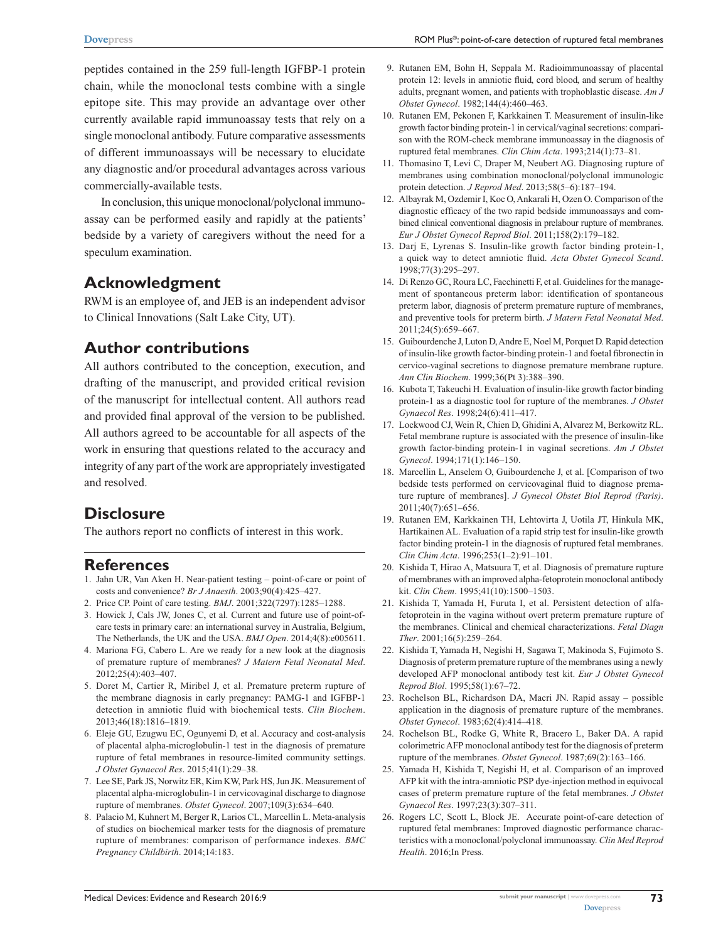peptides contained in the 259 full-length IGFBP-1 protein chain, while the monoclonal tests combine with a single epitope site. This may provide an advantage over other currently available rapid immunoassay tests that rely on a single monoclonal antibody. Future comparative assessments of different immunoassays will be necessary to elucidate any diagnostic and/or procedural advantages across various commercially-available tests.

In conclusion, this unique monoclonal/polyclonal immunoassay can be performed easily and rapidly at the patients' bedside by a variety of caregivers without the need for a speculum examination.

# **Acknowledgment**

RWM is an employee of, and JEB is an independent advisor to Clinical Innovations (Salt Lake City, UT).

# **Author contributions**

All authors contributed to the conception, execution, and drafting of the manuscript, and provided critical revision of the manuscript for intellectual content. All authors read and provided final approval of the version to be published. All authors agreed to be accountable for all aspects of the work in ensuring that questions related to the accuracy and integrity of any part of the work are appropriately investigated and resolved.

## **Disclosure**

The authors report no conflicts of interest in this work.

#### **References**

- 1. Jahn UR, Van Aken H. Near-patient testing point-of-care or point of costs and convenience? *Br J Anaesth*. 2003;90(4):425–427.
- 2. Price CP. Point of care testing. *BMJ*. 2001;322(7297):1285–1288.
- 3. Howick J, Cals JW, Jones C, et al. Current and future use of point-ofcare tests in primary care: an international survey in Australia, Belgium, The Netherlands, the UK and the USA. *BMJ Open*. 2014;4(8):e005611.
- 4. Mariona FG, Cabero L. Are we ready for a new look at the diagnosis of premature rupture of membranes? *J Matern Fetal Neonatal Med*. 2012;25(4):403–407.
- 5. Doret M, Cartier R, Miribel J, et al. Premature preterm rupture of the membrane diagnosis in early pregnancy: PAMG-1 and IGFBP-1 detection in amniotic fluid with biochemical tests. *Clin Biochem*. 2013;46(18):1816–1819.
- 6. Eleje GU, Ezugwu EC, Ogunyemi D, et al. Accuracy and cost-analysis of placental alpha-microglobulin-1 test in the diagnosis of premature rupture of fetal membranes in resource-limited community settings. *J Obstet Gynaecol Res*. 2015;41(1):29–38.
- 7. Lee SE, Park JS, Norwitz ER, Kim KW, Park HS, Jun JK. Measurement of placental alpha-microglobulin-1 in cervicovaginal discharge to diagnose rupture of membranes. *Obstet Gynecol*. 2007;109(3):634–640.
- 8. Palacio M, Kuhnert M, Berger R, Larios CL, Marcellin L. Meta-analysis of studies on biochemical marker tests for the diagnosis of premature rupture of membranes: comparison of performance indexes. *BMC Pregnancy Childbirth*. 2014;14:183.
- 9. Rutanen EM, Bohn H, Seppala M. Radioimmunoassay of placental protein 12: levels in amniotic fluid, cord blood, and serum of healthy adults, pregnant women, and patients with trophoblastic disease. *Am J Obstet Gynecol*. 1982;144(4):460–463.
- 10. Rutanen EM, Pekonen F, Karkkainen T. Measurement of insulin-like growth factor binding protein-1 in cervical/vaginal secretions: comparison with the ROM-check membrane immunoassay in the diagnosis of ruptured fetal membranes. *Clin Chim Acta*. 1993;214(1):73–81.
- 11. Thomasino T, Levi C, Draper M, Neubert AG. Diagnosing rupture of membranes using combination monoclonal/polyclonal immunologic protein detection. *J Reprod Med*. 2013;58(5–6):187–194.
- 12. Albayrak M, Ozdemir I, Koc O, Ankarali H, Ozen O. Comparison of the diagnostic efficacy of the two rapid bedside immunoassays and combined clinical conventional diagnosis in prelabour rupture of membranes. *Eur J Obstet Gynecol Reprod Biol*. 2011;158(2):179–182.
- 13. Darj E, Lyrenas S. Insulin-like growth factor binding protein-1, a quick way to detect amniotic fluid. *Acta Obstet Gynecol Scand*. 1998;77(3):295–297.
- 14. Di Renzo GC, Roura LC, Facchinetti F, et al. Guidelines for the management of spontaneous preterm labor: identification of spontaneous preterm labor, diagnosis of preterm premature rupture of membranes, and preventive tools for preterm birth. *J Matern Fetal Neonatal Med*. 2011;24(5):659–667.
- 15. Guibourdenche J, Luton D, Andre E, Noel M, Porquet D. Rapid detection of insulin-like growth factor-binding protein-1 and foetal fibronectin in cervico-vaginal secretions to diagnose premature membrane rupture. *Ann Clin Biochem*. 1999;36(Pt 3):388–390.
- 16. Kubota T, Takeuchi H. Evaluation of insulin-like growth factor binding protein-1 as a diagnostic tool for rupture of the membranes. *J Obstet Gynaecol Res*. 1998;24(6):411–417.
- 17. Lockwood CJ, Wein R, Chien D, Ghidini A, Alvarez M, Berkowitz RL. Fetal membrane rupture is associated with the presence of insulin-like growth factor-binding protein-1 in vaginal secretions. *Am J Obstet Gynecol*. 1994;171(1):146–150.
- 18. Marcellin L, Anselem O, Guibourdenche J, et al. [Comparison of two bedside tests performed on cervicovaginal fluid to diagnose premature rupture of membranes]. *J Gynecol Obstet Biol Reprod (Paris)*. 2011;40(7):651–656.
- 19. Rutanen EM, Karkkainen TH, Lehtovirta J, Uotila JT, Hinkula MK, Hartikainen AL. Evaluation of a rapid strip test for insulin-like growth factor binding protein-1 in the diagnosis of ruptured fetal membranes. *Clin Chim Acta*. 1996;253(1–2):91–101.
- 20. Kishida T, Hirao A, Matsuura T, et al. Diagnosis of premature rupture of membranes with an improved alpha-fetoprotein monoclonal antibody kit. *Clin Chem*. 1995;41(10):1500–1503.
- 21. Kishida T, Yamada H, Furuta I, et al. Persistent detection of alfafetoprotein in the vagina without overt preterm premature rupture of the membranes. Clinical and chemical characterizations. *Fetal Diagn Ther*. 2001;16(5):259–264.
- 22. Kishida T, Yamada H, Negishi H, Sagawa T, Makinoda S, Fujimoto S. Diagnosis of preterm premature rupture of the membranes using a newly developed AFP monoclonal antibody test kit. *Eur J Obstet Gynecol Reprod Biol*. 1995;58(1):67–72.
- 23. Rochelson BL, Richardson DA, Macri JN. Rapid assay possible application in the diagnosis of premature rupture of the membranes. *Obstet Gynecol*. 1983;62(4):414–418.
- 24. Rochelson BL, Rodke G, White R, Bracero L, Baker DA. A rapid colorimetric AFP monoclonal antibody test for the diagnosis of preterm rupture of the membranes. *Obstet Gynecol*. 1987;69(2):163–166.
- 25. Yamada H, Kishida T, Negishi H, et al. Comparison of an improved AFP kit with the intra-amniotic PSP dye-injection method in equivocal cases of preterm premature rupture of the fetal membranes. *J Obstet Gynaecol Res*. 1997;23(3):307–311.
- 26. Rogers LC, Scott L, Block JE. Accurate point-of-care detection of ruptured fetal membranes: Improved diagnostic performance characteristics with a monoclonal/polyclonal immunoassay. *Clin Med Reprod Health*. 2016;In Press.